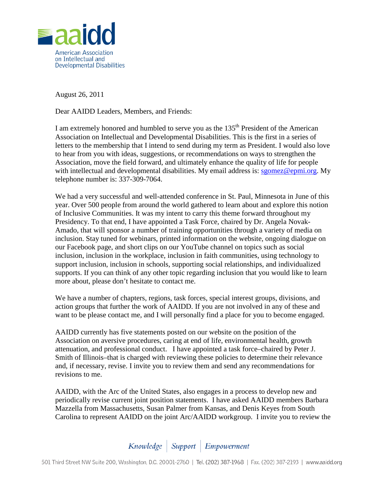

August 26, 2011

Dear AAIDD Leaders, Members, and Friends:

I am extremely honored and humbled to serve you as the  $135<sup>th</sup>$  President of the American Association on Intellectual and Developmental Disabilities. This is the first in a series of letters to the membership that I intend to send during my term as President. I would also love to hear from you with ideas, suggestions, or recommendations on ways to strengthen the Association, move the field forward, and ultimately enhance the quality of life for people with intellectual and developmental disabilities. My email address is: [sgomez@epmi.org.](mailto:sgomez@epmi.org) My telephone number is: 337-309-7064.

We had a very successful and well-attended conference in St. Paul, Minnesota in June of this year. Over 500 people from around the world gathered to learn about and explore this notion of Inclusive Communities. It was my intent to carry this theme forward throughout my Presidency. To that end, I have appointed a Task Force, chaired by Dr. Angela Novak-Amado, that will sponsor a number of training opportunities through a variety of media on inclusion. Stay tuned for webinars, printed information on the website, ongoing dialogue on our Facebook page, and short clips on our YouTube channel on topics such as social inclusion, inclusion in the workplace, inclusion in faith communities, using technology to support inclusion, inclusion in schools, supporting social relationships, and individualized supports. If you can think of any other topic regarding inclusion that you would like to learn more about, please don't hesitate to contact me.

We have a number of chapters, regions, task forces, special interest groups, divisions, and action groups that further the work of AAIDD. If you are not involved in any of these and want to be please contact me, and I will personally find a place for you to become engaged.

AAIDD currently has five statements posted on our website on the position of the Association on aversive procedures, caring at end of life, environmental health, growth attenuation, and professional conduct. I have appointed a task force–chaired by Peter J. Smith of Illinois–that is charged with reviewing these policies to determine their relevance and, if necessary, revise. I invite you to review them and send any recommendations for revisions to me.

AAIDD, with the Arc of the United States, also engages in a process to develop new and periodically revise current joint position statements. I have asked AAIDD members Barbara Mazzella from Massachusetts, Susan Palmer from Kansas, and Denis Keyes from South Carolina to represent AAIDD on the joint Arc/AAIDD workgroup. I invite you to review the

Knowledge | Support | Empowerment